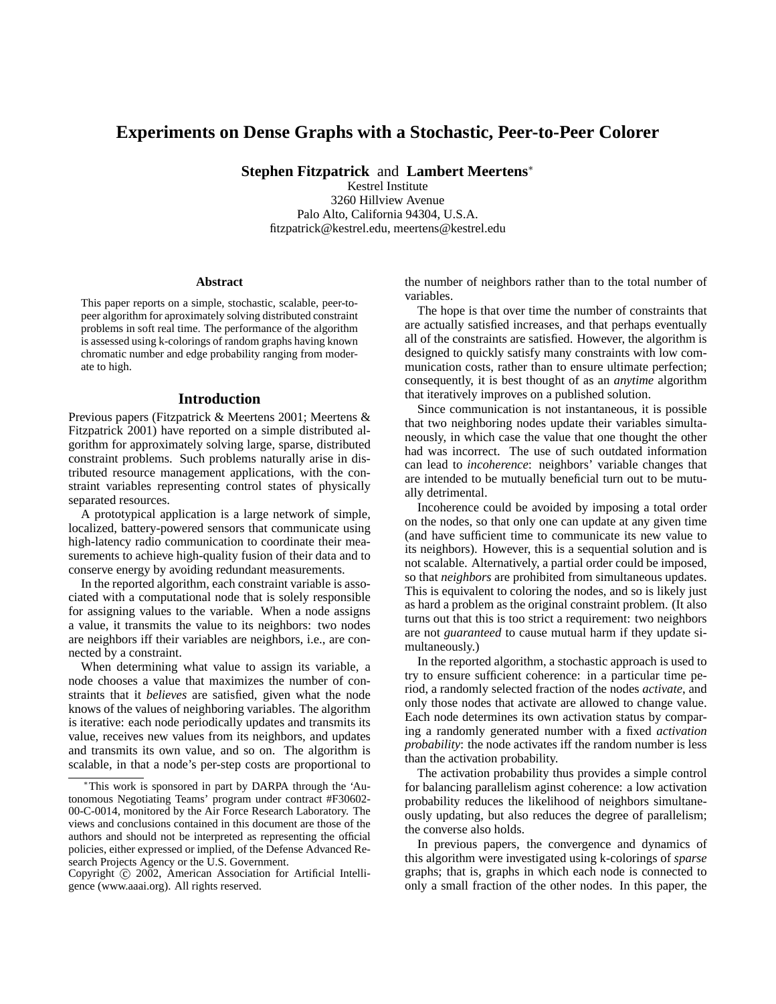# **Experiments on Dense Graphs with a Stochastic, Peer-to-Peer Colorer**

**Stephen Fitzpatrick** and **Lambert Meertens**<sup>∗</sup>

Kestrel Institute 3260 Hillview Avenue Palo Alto, California 94304, U.S.A. fitzpatrick@kestrel.edu, meertens@kestrel.edu

#### **Abstract**

This paper reports on a simple, stochastic, scalable, peer-topeer algorithm for aproximately solving distributed constraint problems in soft real time. The performance of the algorithm is assessed using k-colorings of random graphs having known chromatic number and edge probability ranging from moderate to high.

#### **Introduction**

Previous papers (Fitzpatrick & Meertens 2001; Meertens & Fitzpatrick 2001) have reported on a simple distributed algorithm for approximately solving large, sparse, distributed constraint problems. Such problems naturally arise in distributed resource management applications, with the constraint variables representing control states of physically separated resources.

A prototypical application is a large network of simple, localized, battery-powered sensors that communicate using high-latency radio communication to coordinate their measurements to achieve high-quality fusion of their data and to conserve energy by avoiding redundant measurements.

In the reported algorithm, each constraint variable is associated with a computational node that is solely responsible for assigning values to the variable. When a node assigns a value, it transmits the value to its neighbors: two nodes are neighbors iff their variables are neighbors, i.e., are connected by a constraint.

When determining what value to assign its variable, a node chooses a value that maximizes the number of constraints that it *believes* are satisfied, given what the node knows of the values of neighboring variables. The algorithm is iterative: each node periodically updates and transmits its value, receives new values from its neighbors, and updates and transmits its own value, and so on. The algorithm is scalable, in that a node's per-step costs are proportional to the number of neighbors rather than to the total number of variables.

The hope is that over time the number of constraints that are actually satisfied increases, and that perhaps eventually all of the constraints are satisfied. However, the algorithm is designed to quickly satisfy many constraints with low communication costs, rather than to ensure ultimate perfection; consequently, it is best thought of as an *anytime* algorithm that iteratively improves on a published solution.

Since communication is not instantaneous, it is possible that two neighboring nodes update their variables simultaneously, in which case the value that one thought the other had was incorrect. The use of such outdated information can lead to *incoherence*: neighbors' variable changes that are intended to be mutually beneficial turn out to be mutually detrimental.

Incoherence could be avoided by imposing a total order on the nodes, so that only one can update at any given time (and have sufficient time to communicate its new value to its neighbors). However, this is a sequential solution and is not scalable. Alternatively, a partial order could be imposed, so that *neighbors* are prohibited from simultaneous updates. This is equivalent to coloring the nodes, and so is likely just as hard a problem as the original constraint problem. (It also turns out that this is too strict a requirement: two neighbors are not *guaranteed* to cause mutual harm if they update simultaneously.)

In the reported algorithm, a stochastic approach is used to try to ensure sufficient coherence: in a particular time period, a randomly selected fraction of the nodes *activate*, and only those nodes that activate are allowed to change value. Each node determines its own activation status by comparing a randomly generated number with a fixed *activation probability*: the node activates iff the random number is less than the activation probability.

The activation probability thus provides a simple control for balancing parallelism aginst coherence: a low activation probability reduces the likelihood of neighbors simultaneously updating, but also reduces the degree of parallelism; the converse also holds.

In previous papers, the convergence and dynamics of this algorithm were investigated using k-colorings of *sparse* graphs; that is, graphs in which each node is connected to only a small fraction of the other nodes. In this paper, the

<sup>∗</sup>This work is sponsored in part by DARPA through the 'Autonomous Negotiating Teams' program under contract #F30602- 00-C-0014, monitored by the Air Force Research Laboratory. The views and conclusions contained in this document are those of the authors and should not be interpreted as representing the official policies, either expressed or implied, of the Defense Advanced Research Projects Agency or the U.S. Government.

Copyright (c) 2002, American Association for Artificial Intelligence (www.aaai.org). All rights reserved.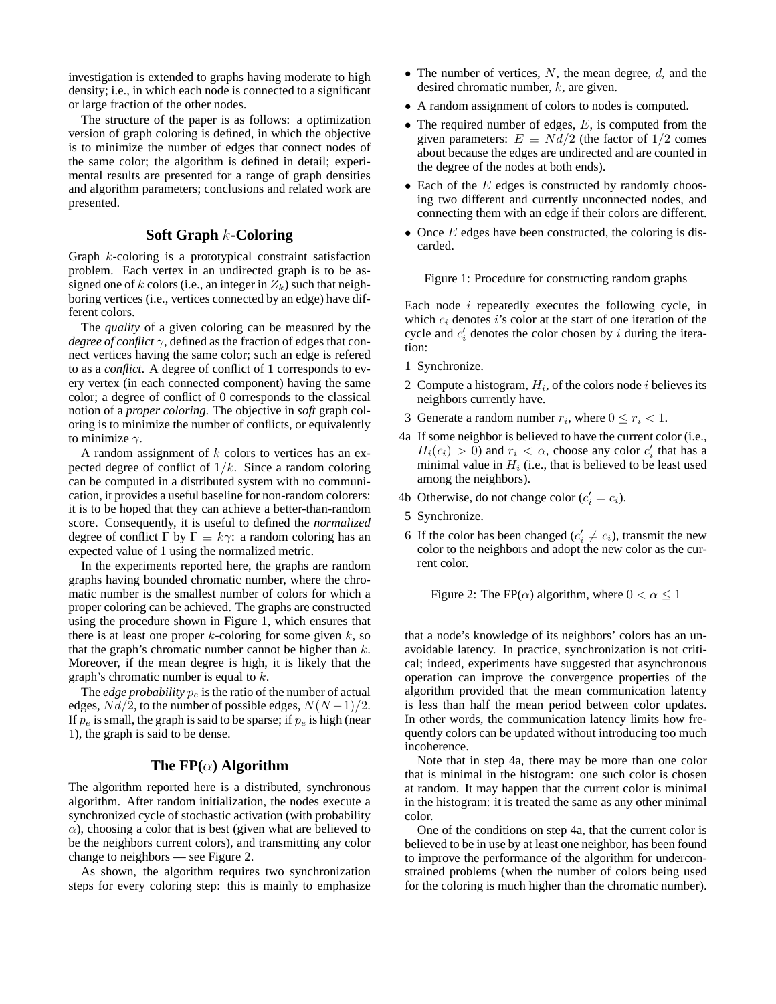investigation is extended to graphs having moderate to high density; i.e., in which each node is connected to a significant or large fraction of the other nodes.

The structure of the paper is as follows: a optimization version of graph coloring is defined, in which the objective is to minimize the number of edges that connect nodes of the same color; the algorithm is defined in detail; experimental results are presented for a range of graph densities and algorithm parameters; conclusions and related work are presented.

# **Soft Graph** k**-Coloring**

Graph k-coloring is a prototypical constraint satisfaction problem. Each vertex in an undirected graph is to be assigned one of k colors (i.e., an integer in  $Z_k$ ) such that neighboring vertices (i.e., vertices connected by an edge) have different colors.

The *quality* of a given coloring can be measured by the *degree of conflict*  $\gamma$ , defined as the fraction of edges that connect vertices having the same color; such an edge is refered to as a *conflict*. A degree of conflict of 1 corresponds to every vertex (in each connected component) having the same color; a degree of conflict of 0 corresponds to the classical notion of a *proper coloring*. The objective in *soft* graph coloring is to minimize the number of conflicts, or equivalently to minimize  $\gamma$ .

A random assignment of  $k$  colors to vertices has an expected degree of conflict of  $1/k$ . Since a random coloring can be computed in a distributed system with no communication, it provides a useful baseline for non-random colorers: it is to be hoped that they can achieve a better-than-random score. Consequently, it is useful to defined the *normalized* degree of conflict  $\Gamma$  by  $\Gamma \equiv k\gamma$ : a random coloring has an expected value of 1 using the normalized metric.

In the experiments reported here, the graphs are random graphs having bounded chromatic number, where the chromatic number is the smallest number of colors for which a proper coloring can be achieved. The graphs are constructed using the procedure shown in Figure 1, which ensures that there is at least one proper  $k$ -coloring for some given  $k$ , so that the graph's chromatic number cannot be higher than  $k$ . Moreover, if the mean degree is high, it is likely that the graph's chromatic number is equal to k.

The *edge probability*  $p_e$  is the ratio of the number of actual edges,  $Nd/2$ , to the number of possible edges,  $N(N-1)/2$ . If  $p_e$  is small, the graph is said to be sparse; if  $p_e$  is high (near 1), the graph is said to be dense.

## **The FP(**α**) Algorithm**

The algorithm reported here is a distributed, synchronous algorithm. After random initialization, the nodes execute a synchronized cycle of stochastic activation (with probability  $\alpha$ ), choosing a color that is best (given what are believed to be the neighbors current colors), and transmitting any color change to neighbors — see Figure 2.

As shown, the algorithm requires two synchronization steps for every coloring step: this is mainly to emphasize

- The number of vertices,  $N$ , the mean degree,  $d$ , and the desired chromatic number, k, are given.
- A random assignment of colors to nodes is computed.
- The required number of edges,  $E$ , is computed from the given parameters:  $E \equiv N d/2$  (the factor of 1/2 comes about because the edges are undirected and are counted in the degree of the nodes at both ends).
- $\bullet$  Each of the  $E$  edges is constructed by randomly choosing two different and currently unconnected nodes, and connecting them with an edge if their colors are different.
- Once  $E$  edges have been constructed, the coloring is discarded.

Figure 1: Procedure for constructing random graphs

Each node  $i$  repeatedly executes the following cycle, in which  $c_i$  denotes i's color at the start of one iteration of the cycle and  $c_i'$  denotes the color chosen by i during the iteration:

- 1 Synchronize.
- 2 Compute a histogram,  $H_i$ , of the colors node i believes its neighbors currently have.
- 3 Generate a random number  $r_i$ , where  $0 \le r_i < 1$ .
- 4a If some neighbor is believed to have the current color (i.e.,  $H_i(c_i) > 0$  and  $r_i < \alpha$ , choose any color  $c'_i$  that has a minimal value in  $H_i$  (i.e., that is believed to be least used among the neighbors).
- 4b Otherwise, do not change color  $(c_i' = c_i)$ .
- 5 Synchronize.
- 6 If the color has been changed ( $c_i' \neq c_i$ ), transmit the new color to the neighbors and adopt the new color as the current color.

Figure 2: The FP( $\alpha$ ) algorithm, where  $0 < \alpha \leq 1$ 

that a node's knowledge of its neighbors' colors has an unavoidable latency. In practice, synchronization is not critical; indeed, experiments have suggested that asynchronous operation can improve the convergence properties of the algorithm provided that the mean communication latency is less than half the mean period between color updates. In other words, the communication latency limits how frequently colors can be updated without introducing too much incoherence.

Note that in step 4a, there may be more than one color that is minimal in the histogram: one such color is chosen at random. It may happen that the current color is minimal in the histogram: it is treated the same as any other minimal color.

One of the conditions on step 4a, that the current color is believed to be in use by at least one neighbor, has been found to improve the performance of the algorithm for underconstrained problems (when the number of colors being used for the coloring is much higher than the chromatic number).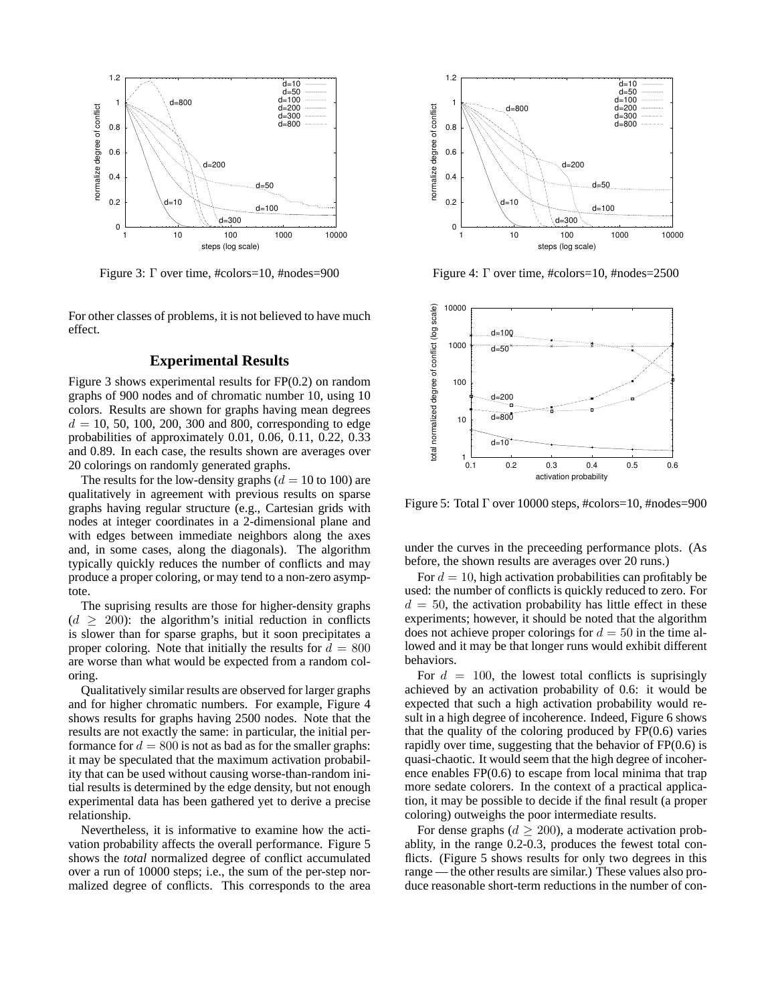

Figure 3:  $\Gamma$  over time, #colors=10, #nodes=900

For other classes of problems, it is not believed to have much effect.

## **Experimental Results**

Figure 3 shows experimental results for FP(0.2) on random graphs of 900 nodes and of chromatic number 10, using 10 colors. Results are shown for graphs having mean degrees  $d = 10, 50, 100, 200, 300$  and 800, corresponding to edge probabilities of approximately 0.01, 0.06, 0.11, 0.22, 0.33 and 0.89. In each case, the results shown are averages over 20 colorings on randomly generated graphs.

The results for the low-density graphs ( $d = 10$  to 100) are qualitatively in agreement with previous results on sparse graphs having regular structure (e.g., Cartesian grids with nodes at integer coordinates in a 2-dimensional plane and with edges between immediate neighbors along the axes and, in some cases, along the diagonals). The algorithm typically quickly reduces the number of conflicts and may produce a proper coloring, or may tend to a non-zero asymptote.

The suprising results are those for higher-density graphs  $(d \ge 200)$ : the algorithm's initial reduction in conflicts is slower than for sparse graphs, but it soon precipitates a proper coloring. Note that initially the results for  $d = 800$ are worse than what would be expected from a random coloring.

Qualitatively similar results are observed for larger graphs and for higher chromatic numbers. For example, Figure 4 shows results for graphs having 2500 nodes. Note that the results are not exactly the same: in particular, the initial performance for  $d = 800$  is not as bad as for the smaller graphs: it may be speculated that the maximum activation probability that can be used without causing worse-than-random initial results is determined by the edge density, but not enough experimental data has been gathered yet to derive a precise relationship.

Nevertheless, it is informative to examine how the activation probability affects the overall performance. Figure 5 shows the *total* normalized degree of conflict accumulated over a run of 10000 steps; i.e., the sum of the per-step normalized degree of conflicts. This corresponds to the area



Figure 4:  $\Gamma$  over time, #colors=10, #nodes=2500



Figure 5: Total  $\Gamma$  over 10000 steps, #colors=10, #nodes=900

under the curves in the preceeding performance plots. (As before, the shown results are averages over 20 runs.)

For  $d = 10$ , high activation probabilities can profitably be used: the number of conflicts is quickly reduced to zero. For  $d = 50$ , the activation probability has little effect in these experiments; however, it should be noted that the algorithm does not achieve proper colorings for  $d = 50$  in the time allowed and it may be that longer runs would exhibit different behaviors.

For  $d = 100$ , the lowest total conflicts is suprisingly achieved by an activation probability of 0.6: it would be expected that such a high activation probability would result in a high degree of incoherence. Indeed, Figure 6 shows that the quality of the coloring produced by  $FP(0.6)$  varies rapidly over time, suggesting that the behavior of FP(0.6) is quasi-chaotic. It would seem that the high degree of incoherence enables FP(0.6) to escape from local minima that trap more sedate colorers. In the context of a practical application, it may be possible to decide if the final result (a proper coloring) outweighs the poor intermediate results.

For dense graphs ( $d \ge 200$ ), a moderate activation probablity, in the range 0.2-0.3, produces the fewest total conflicts. (Figure 5 shows results for only two degrees in this range — the other results are similar.) These values also produce reasonable short-term reductions in the number of con-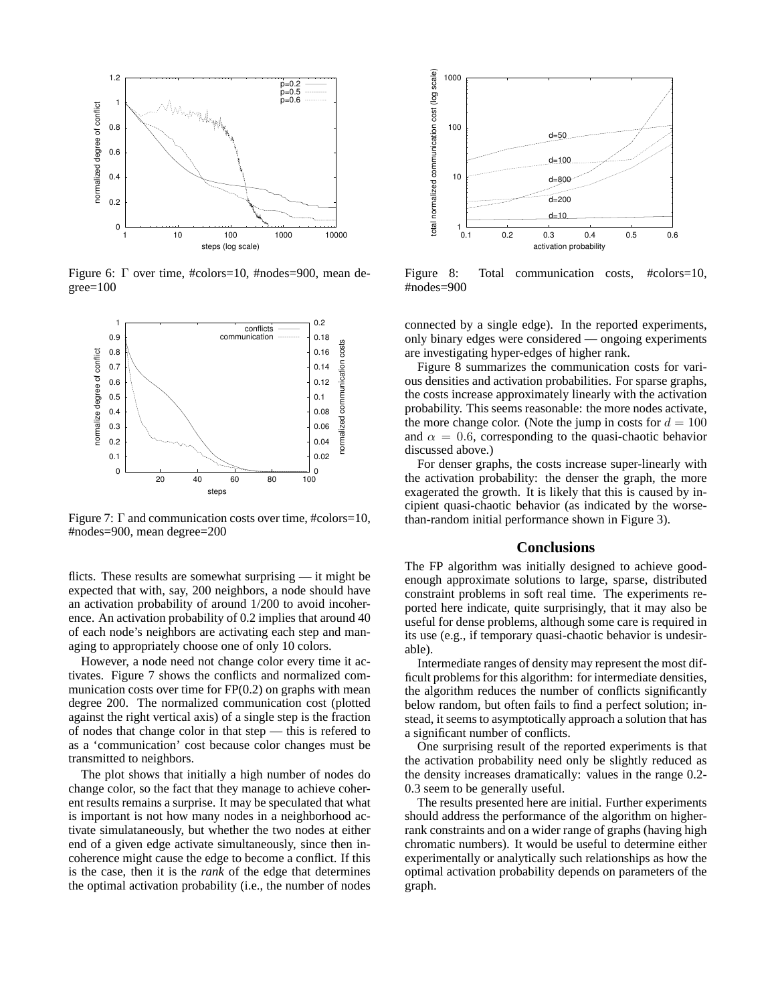

Figure 6: Γ over time, #colors=10, #nodes=900, mean de $green=100$ 



Figure 7: Γ and communication costs over time, #colors=10, #nodes=900, mean degree=200

flicts. These results are somewhat surprising — it might be expected that with, say, 200 neighbors, a node should have an activation probability of around 1/200 to avoid incoherence. An activation probability of 0.2 implies that around 40 of each node's neighbors are activating each step and managing to appropriately choose one of only 10 colors.

However, a node need not change color every time it activates. Figure 7 shows the conflicts and normalized communication costs over time for  $FP(0.2)$  on graphs with mean degree 200. The normalized communication cost (plotted against the right vertical axis) of a single step is the fraction of nodes that change color in that step — this is refered to as a 'communication' cost because color changes must be transmitted to neighbors.

The plot shows that initially a high number of nodes do change color, so the fact that they manage to achieve coherent results remains a surprise. It may be speculated that what is important is not how many nodes in a neighborhood activate simulataneously, but whether the two nodes at either end of a given edge activate simultaneously, since then incoherence might cause the edge to become a conflict. If this is the case, then it is the *rank* of the edge that determines the optimal activation probability (i.e., the number of nodes



Figure 8: Total communication costs, #colors=10, #nodes=900

connected by a single edge). In the reported experiments, only binary edges were considered — ongoing experiments are investigating hyper-edges of higher rank.

Figure 8 summarizes the communication costs for various densities and activation probabilities. For sparse graphs, the costs increase approximately linearly with the activation probability. This seems reasonable: the more nodes activate, the more change color. (Note the jump in costs for  $d = 100$ and  $\alpha = 0.6$ , corresponding to the quasi-chaotic behavior discussed above.)

For denser graphs, the costs increase super-linearly with the activation probability: the denser the graph, the more exagerated the growth. It is likely that this is caused by incipient quasi-chaotic behavior (as indicated by the worsethan-random initial performance shown in Figure 3).

## **Conclusions**

The FP algorithm was initially designed to achieve goodenough approximate solutions to large, sparse, distributed constraint problems in soft real time. The experiments reported here indicate, quite surprisingly, that it may also be useful for dense problems, although some care is required in its use (e.g., if temporary quasi-chaotic behavior is undesirable).

Intermediate ranges of density may represent the most difficult problems for this algorithm: for intermediate densities, the algorithm reduces the number of conflicts significantly below random, but often fails to find a perfect solution; instead, it seems to asymptotically approach a solution that has a significant number of conflicts.

One surprising result of the reported experiments is that the activation probability need only be slightly reduced as the density increases dramatically: values in the range 0.2- 0.3 seem to be generally useful.

The results presented here are initial. Further experiments should address the performance of the algorithm on higherrank constraints and on a wider range of graphs (having high chromatic numbers). It would be useful to determine either experimentally or analytically such relationships as how the optimal activation probability depends on parameters of the graph.